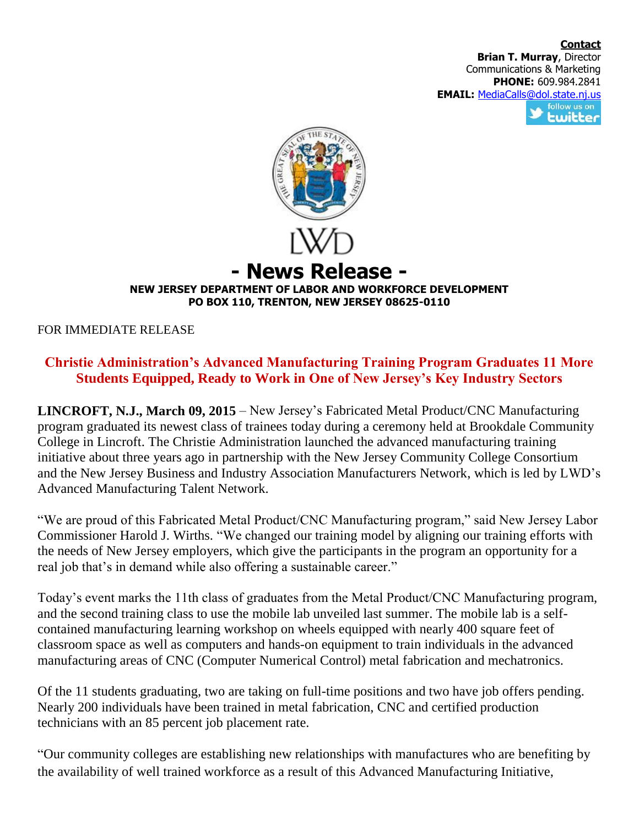**Contact Brian T. Murray**, Director Communications & Marketing **PHONE:** 609.984.2841 **EMAIL:** [MediaCalls@dol.state.nj.us](mailto:MediaCalls@dol.state.nj.us) follow us on twitter



## **NEW JERSEY DEPARTMENT OF LABOR AND WORKFORCE DEVELOPMENT PO BOX 110, TRENTON, NEW JERSEY 08625-0110**

FOR IMMEDIATE RELEASE

## **Christie Administration's Advanced Manufacturing Training Program Graduates 11 More Students Equipped, Ready to Work in One of New Jersey's Key Industry Sectors**

**LINCROFT, N.J., March 09, 2015** – New Jersey's Fabricated Metal Product/CNC Manufacturing program graduated its newest class of trainees today during a ceremony held at Brookdale Community College in Lincroft. The Christie Administration launched the advanced manufacturing training initiative about three years ago in partnership with the New Jersey Community College Consortium and the New Jersey Business and Industry Association Manufacturers Network, which is led by LWD's Advanced Manufacturing Talent Network.

"We are proud of this Fabricated Metal Product/CNC Manufacturing program," said New Jersey Labor Commissioner Harold J. Wirths. "We changed our training model by aligning our training efforts with the needs of New Jersey employers, which give the participants in the program an opportunity for a real job that's in demand while also offering a sustainable career."

Today's event marks the 11th class of graduates from the Metal Product/CNC Manufacturing program, and the second training class to use the mobile lab unveiled last summer. The mobile lab is a selfcontained manufacturing learning workshop on wheels equipped with nearly 400 square feet of classroom space as well as computers and hands-on equipment to train individuals in the advanced manufacturing areas of CNC (Computer Numerical Control) metal fabrication and mechatronics.

Of the 11 students graduating, two are taking on full-time positions and two have job offers pending. Nearly 200 individuals have been trained in metal fabrication, CNC and certified production technicians with an 85 percent job placement rate.

"Our community colleges are establishing new relationships with manufactures who are benefiting by the availability of well trained workforce as a result of this Advanced Manufacturing Initiative,